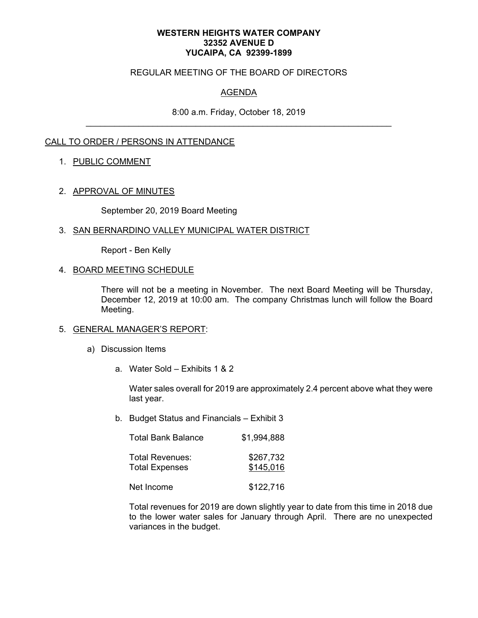#### **WESTERN HEIGHTS WATER COMPANY 32352 AVENUE D YUCAIPA, CA 92399-1899**

### REGULAR MEETING OF THE BOARD OF DIRECTORS

# AGENDA

8:00 a.m. Friday, October 18, 2019 \_\_\_\_\_\_\_\_\_\_\_\_\_\_\_\_\_\_\_\_\_\_\_\_\_\_\_\_\_\_\_\_\_\_\_\_\_\_\_\_\_\_\_\_\_\_\_\_\_\_\_\_\_\_\_\_\_\_\_\_\_\_\_\_

## CALL TO ORDER / PERSONS IN ATTENDANCE

### 1. PUBLIC COMMENT

#### 2. APPROVAL OF MINUTES

September 20, 2019 Board Meeting

#### 3. SAN BERNARDINO VALLEY MUNICIPAL WATER DISTRICT

Report - Ben Kelly

#### 4. BOARD MEETING SCHEDULE

There will not be a meeting in November. The next Board Meeting will be Thursday, December 12, 2019 at 10:00 am. The company Christmas lunch will follow the Board Meeting.

#### 5. GENERAL MANAGER'S REPORT:

- a) Discussion Items
	- a. Water Sold Exhibits 1 & 2

Water sales overall for 2019 are approximately 2.4 percent above what they were last year.

b. Budget Status and Financials – Exhibit 3

| <b>Total Bank Balance</b>                | \$1.994.888            |
|------------------------------------------|------------------------|
| Total Revenues:<br><b>Total Expenses</b> | \$267,732<br>\$145,016 |
| Net Income                               | \$122,716              |

Total revenues for 2019 are down slightly year to date from this time in 2018 due to the lower water sales for January through April. There are no unexpected variances in the budget.